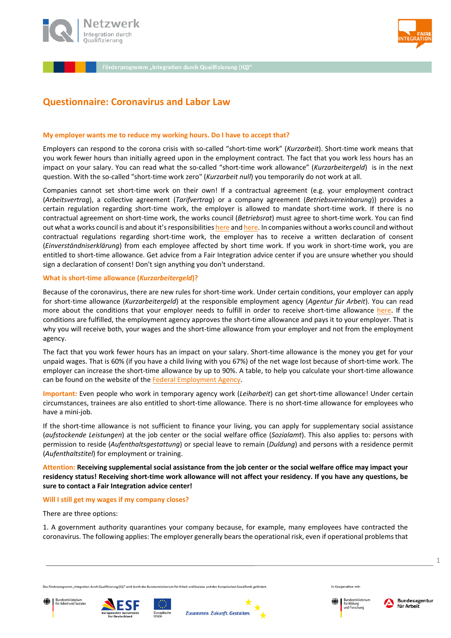



# **Questionnaire: Coronavirus and Labor Law**

## **My employer wants me to reduce my working hours. Do I have to accept that?**

Employers can respond to the corona crisis with so-called "short-time work" (*Kurzarbeit*). Short-time work means that you work fewer hours than initially agreed upon in the employment contract. The fact that you work less hours has an impact on your salary. You can read what the so-called "short-time work allowance" (*Kurzarbeitergeld*) is in the next question. With the so-called "short-time work zero" (*Kurzarbeit null*) you temporarily do not work at all.

Companies cannot set short-time work on their own! If a contractual agreement (e.g. your employment contract (*Arbeitsvertrag*), a collective agreement (*Tarifvertrag*) or a company agreement (*Betriebsvereinbarung*)) provides a certain regulation regarding short-time work, the employer is allowed to mandate short-time work. If there is no contractual agreement on short-time work, the works council (*Betriebsrat*) must agree to short-time work. You can find out what a works council is and about it's responsibilitie[s here](https://www.faire-integration.de/en/article/453.what-is-a-works-council-what-is-a-staff-council.html) an[d here.](https://www.faire-integration.de/en/article/454.what-are-the-tasks-of-the-works-council.html) In companies without a works council and without contractual regulations regarding short-time work, the employer has to receive a written declaration of consent (*Einverständniserklärung*) from each employee affected by short time work. If you work in short-time work, you are entitled to short-time allowance. Get advice from a Fair Integration advice center if you are unsure whether you should sign a declaration of consent! Don't sign anything you don't understand.

## **What is short-time allowance (***Kurzarbeitergeld***)?**

Because of the coronavirus, there are new rules for short-time work. Under certain conditions, your employer can apply for short-time allowance (*Kurzarbeitergeld*) at the responsible employment agency (*Agentur für Arbeit*). You can read more about the conditions that your employer needs to fulfill in order to receive short-time allowance [here.](http://www.bmas.de/DE/Schwerpunkte/Informationen-Corona/erleichtertes-kurzarbeitergeld.html) If the conditions are fulfilled, the employment agency approves the short-time allowance and pays it to your employer. That is why you will receive both, your wages and the short-time allowance from your employer and not from the employment agency.

The fact that you work fewer hours has an impact on your salary. Short-time allowance is the money you get for your unpaid wages. That is 60% (if you have a child living with you 67%) of the net wage lost because of short-time work. The employer can increase the short-time allowance by up to 90%. A table, to help you calculate your short-time allowance can be found on the website of the [Federal Employment Agency.](https://www.arbeitsagentur.de/datei/kug050-2016_ba014803.pdf)

**Important:** Even people who work in temporary agency work (*Leiharbeit*) can get short-time allowance! Under certain circumstances, trainees are also entitled to short-time allowance. There is no short-time allowance for employees who have a mini-job.

If the short-time allowance is not sufficient to finance your living, you can apply for supplementary social assistance (*aufstockende Leistungen*) at the job center or the social welfare office (*Sozialamt*). This also applies to: persons with permission to reside (*Aufenthaltsgestattung*) or special leave to remain (*Duldung*) and persons with a residence permit (*Aufenthaltstitel*) for employment or training.

**Attention: Receiving supplemental social assistance from the job center or the social welfare office may impact your residency status! Receiving short-time work allowance will not affect your residency. If you have any questions, be sure to contact a Fair Integration advice center!**

### **Will I still get my wages if my company closes?**

There are three options:

1. A government authority quarantines your company because, for example, many employees have contracted the coronavirus. The following applies: The employer generally bears the operational risk, even if operational problems that







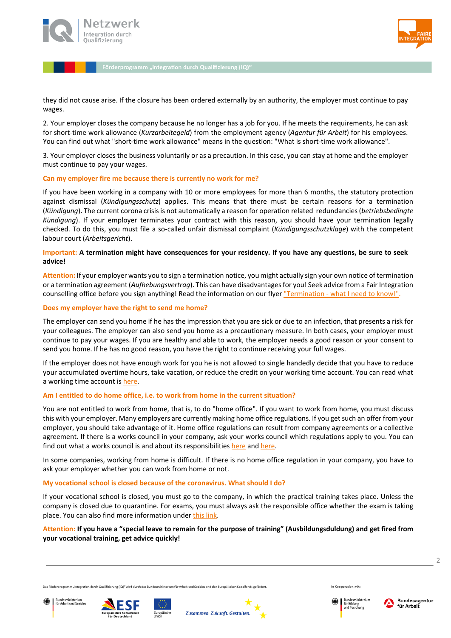



they did not cause arise. If the closure has been ordered externally by an authority, the employer must continue to pay wages.

2. Your employer closes the company because he no longer has a job for you. If he meets the requirements, he can ask for short-time work allowance (*Kurzarbeitegeld*) from the employment agency (*Agentur für Arbeit*) for his employees. You can find out what "short-time work allowance" means in the question: "What is short-time work allowance".

3. Your employer closes the business voluntarily or as a precaution. In this case, you can stay at home and the employer must continue to pay your wages.

### **Can my employer fire me because there is currently no work for me?**

If you have been working in a company with 10 or more employees for more than 6 months, the statutory protection against dismissal (*Kündigungsschutz*) applies. This means that there must be certain reasons for a termination (*Kündigung*). The current corona crisis is not automatically a reason for operation related redundancies (*betriebsbedingte Kündigung*). If your employer terminates your contract with this reason, you should have your termination legally checked. To do this, you must file a so-called unfair dismissal complaint (*Kündigungsschutzklage*) with the competent labour court (*Arbeitsgericht*).

# **Important: A termination might have consequences for your residency. If you have any questions, be sure to seek advice!**

**Attention:** If your employer wants you to sign a termination notice, you might actually sign your own notice of termination or a termination agreement (*Aufhebungsvertrag*). This can have disadvantages for you! Seek advice from a Fair Integration counselling office before you sign anything! Read the information on our flyer "Termination - [what I need to know!".](https://l.facebook.com/l.php?u=http%3A%2F%2Fwww.faire-integration.de%2Fkontext%2Fcontrollers%2Fdocument.php%2F74.d%2Fe%2F92cadd.pdf%3Ffbclid%3DIwAR06EPQAeSCVu_s3ORaBF72eoVXFJzxDe9OlSuIg4whXli4PIP1bhj6hTrE&h=AT1d4uG25RPMqqA8agJdvTEieEJCPpddXeK4GYSp7futd_kfKrWc5884r69NzWVOff6M8PgAWQnxl3BY1TywPrWGdKl5b6zvGnxJcUXv-RGbcH30Kw4EMs2mwh_avp8PeR8iKz6sZAps48mYymoAp-80lq2h22OP-VPvCTrOcMtAI0VrJ7i5Zzkb3J0UfrK-S14aFSfsdcCXr0hoUpMynlqSojLYsKR84Zvfsk-wb6sQrPE_CYN5mao1kCTgoI_H5rZprect8M9VB8ldQm7vg7Y2hLHTC6gOwXWgk8xRcqdK2Kt2Y521khPJtiuOCqS4fqlcDULAbh6WHrHC0WMv3Gwbpyb70M3aJe5safj_utre36qof0j3cg7u0GbEpbi-GzDLI-Tt8W2jWzVzW1Cz3c5G5MJn_AB1TiMtjEcJ0Pf_zx6r_Beq9rZcbjHcH3qtXmkvxCWuJ4nqTPjnpq1iNAaUEBckLwjznHSa1irMSR6d9ItI7sjRSBwhAuYIEm7XcglFj6yMItWo0_aiKD5uV76nbOGkloaQzUlgtkYk7hyuDITLht2cLH20voMK-I49J46qvmNibWuBE7E6Nr7Ru9wrYhLj8yLHGgmpHGO_XnZzHXmQPiLZCYsaWRc3xZn3wg)

## **Does my employer have the right to send me home?**

The employer can send you home if he has the impression that you are sick or due to an infection, that presents a risk for your colleagues. The employer can also send you home as a precautionary measure. In both cases, your employer must continue to pay your wages. If you are healthy and able to work, the employer needs a good reason or your consent to send you home. If he has no good reason, you have the right to continue receiving your full wages.

If the employer does not have enough work for you he is not allowed to single handedly decide that you have to reduce your accumulated overtime hours, take vacation, or reduce the credit on your working time account. You can read what a working time account i[s here.](https://www.faire-integration.de/en/article/137.6-what-is-a-working-time-account.html)

# **Am I entitled to do home office, i.e. to work from home in the current situation?**

You are not entitled to work from home, that is, to do "home office". If you want to work from home, you must discuss this with your employer. Many employers are currently making home office regulations. If you get such an offer from your employer, you should take advantage of it. Home office regulations can result from company agreements or a collective agreement. If there is a works council in your company, ask your works council which regulations apply to you. You can find out what a works council is and about its responsibilities [here](https://www.faire-integration.de/en/article/453.what-is-a-works-council-what-is-a-staff-council.html) an[d here.](https://www.faire-integration.de/en/article/454.what-are-the-tasks-of-the-works-council.html)

In some companies, working from home is difficult. If there is no home office regulation in your company, you have to ask your employer whether you can work from home or not.

### **My vocational school is closed because of the coronavirus. What should I do?**

If your vocational school is closed, you must go to the company, in which the practical training takes place. Unless the company is closed due to quarantine. For exams, you must always ask the responsible office whether the exam is taking place. You can also find more information under [this link.](https://www.ihk-nordwestfalen.de/bildung/ausbildung/bildung-a-z/coronavirus-faq-ausbildung--4721392)

# **Attention: If you have a "special leave to remain for the purpose of training" (Ausbildungsduldung) and get fired from your vocational training, get advice quickly!**

Bungesministerium<br>für Arbeit und Soziale:









In Kooperation mit

 $\overline{\phantom{a}}$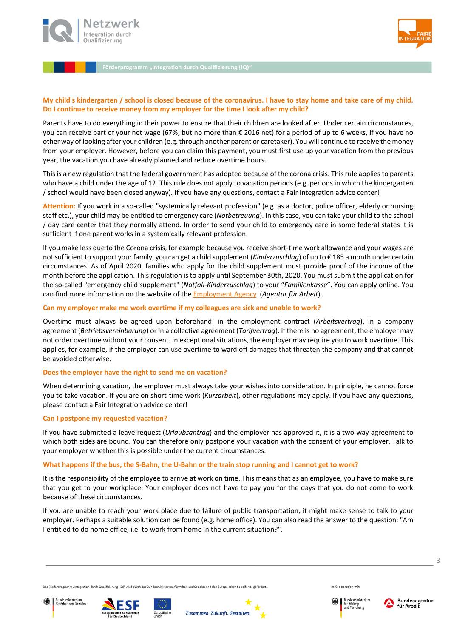



# **My child's kindergarten / school is closed because of the coronavirus. I have to stay home and take care of my child. Do I continue to receive money from my employer for the time I look after my child?**

Parents have to do everything in their power to ensure that their children are looked after. Under certain circumstances, you can receive part of your net wage (67%; but no more than € 2016 net) for a period of up to 6 weeks, if you have no other way of looking after your children (e.g. through another parent or caretaker). You will continue to receive the money from your employer. However, before you can claim this payment, you must first use up your vacation from the previous year, the vacation you have already planned and reduce overtime hours.

This is a new regulation that the federal government has adopted because of the corona crisis. This rule applies to parents who have a child under the age of 12. This rule does not apply to vacation periods (e.g. periods in which the kindergarten / school would have been closed anyway). If you have any questions, contact a Fair Integration advice center!

**Attention:** If you work in a so-called "systemically relevant profession" (e.g. as a doctor, police officer, elderly or nursing staff etc.), your child may be entitled to emergency care (*Notbetreuung*). In this case, you can take your child to the school / day care center that they normally attend. In order to send your child to emergency care in some federal states it is sufficient if one parent works in a systemically relevant profession.

If you make less due to the Corona crisis, for example because you receive short-time work allowance and your wages are not sufficient to support your family, you can get a child supplement (*Kinderzuschlag*) of up to € 185 a month under certain circumstances. As of April 2020, families who apply for the child supplement must provide proof of the income of the month before the application. This regulation is to apply until September 30th, 2020. You must submit the application for the so-called "emergency child supplement" (*Notfall-Kinderzuschlag*) to your "*Familienkasse*". You can apply online. You can find more information on the website of the [Employment Agency](http://www.arbeitsagentur.de/familie-und-kinder/notfall-kiz) (*Agentur für Arbeit*).

## **Can my employer make me work overtime if my colleagues are sick and unable to work?**

Overtime must always be agreed upon beforehand: in the employment contract (*Arbeitsvertrag*), in a company agreement (*Betriebsvereinbarung*) or in a collective agreement (*Tarifvertrag*). If there is no agreement, the employer may not order overtime without your consent. In exceptional situations, the employer may require you to work overtime. This applies, for example, if the employer can use overtime to ward off damages that threaten the company and that cannot be avoided otherwise.

# **Does the employer have the right to send me on vacation?**

When determining vacation, the employer must always take your wishes into consideration. In principle, he cannot force you to take vacation. If you are on short-time work (*Kurzarbeit*), other regulations may apply. If you have any questions, please contact a Fair Integration advice center!

# **Can I postpone my requested vacation?**

If you have submitted a leave request (*Urlaubsantrag*) and the employer has approved it, it is a two-way agreement to which both sides are bound. You can therefore only postpone your vacation with the consent of your employer. Talk to your employer whether this is possible under the current circumstances.

### **What happens if the bus, the S-Bahn, the U-Bahn or the train stop running and I cannot get to work?**

It is the responsibility of the employee to arrive at work on time. This means that as an employee, you have to make sure that you get to your workplace. Your employer does not have to pay you for the days that you do not come to work because of these circumstances.

If you are unable to reach your work place due to failure of public transportation, it might make sense to talk to your employer. Perhaps a suitable solution can be found (e.g. home office). You can also read the answer to the question: "Am I entitled to do home office, i.e. to work from home in the current situation?".

3

Bungesministerium<br>für Arbeit und Soziale:







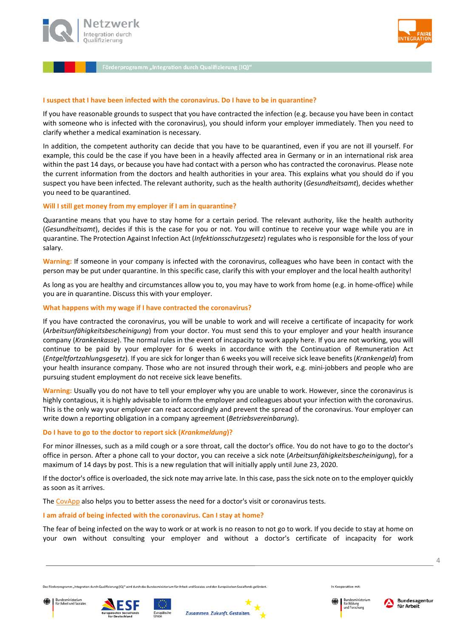



## **I suspect that I have been infected with the coronavirus. Do I have to be in quarantine?**

If you have reasonable grounds to suspect that you have contracted the infection (e.g. because you have been in contact with someone who is infected with the coronavirus), you should inform your employer immediately. Then you need to clarify whether a medical examination is necessary.

In addition, the competent authority can decide that you have to be quarantined, even if you are not ill yourself. For example, this could be the case if you have been in a heavily affected area in Germany or in an international risk area within the past 14 days, or because you have had contact with a person who has contracted the coronavirus. Please note the current information from the doctors and health authorities in your area. This explains what you should do if you suspect you have been infected. The relevant authority, such as the health authority (*Gesundheitsamt*), decides whether you need to be quarantined.

### **Will I still get money from my employer if I am in quarantine?**

Quarantine means that you have to stay home for a certain period. The relevant authority, like the health authority (*Gesundheitsamt*), decides if this is the case for you or not. You will continue to receive your wage while you are in quarantine. The Protection Against Infection Act (*Infektionsschutzgesetz*) regulates who is responsible for the loss of your salary.

**Warning:** If someone in your company is infected with the coronavirus, colleagues who have been in contact with the person may be put under quarantine. In this specific case, clarify this with your employer and the local health authority!

As long as you are healthy and circumstances allow you to, you may have to work from home (e.g. in home-office) while you are in quarantine. Discuss this with your employer.

## **What happens with my wage if I have contracted the coronavirus?**

If you have contracted the coronavirus, you will be unable to work and will receive a certificate of incapacity for work (*Arbeitsunfähigkeitsbescheinigung*) from your doctor. You must send this to your employer and your health insurance company (*Krankenkasse*). The normal rules in the event of incapacity to work apply here. If you are not working, you will continue to be paid by your employer for 6 weeks in accordance with the Continuation of Remuneration Act (*Entgeltfortzahlungsgesetz*). If you are sick for longer than 6 weeks you will receive sick leave benefits (*Krankengeld*) from your health insurance company. Those who are not insured through their work, e.g. mini-jobbers and people who are pursuing student employment do not receive sick leave benefits.

**Warning:** Usually you do not have to tell your employer why you are unable to work. However, since the coronavirus is highly contagious, it is highly advisable to inform the employer and colleagues about your infection with the coronavirus. This is the only way your employer can react accordingly and prevent the spread of the coronavirus. Your employer can write down a reporting obligation in a company agreement (*Betriebsvereinbarung*).

### **Do I have to go to the doctor to report sick (***Krankmeldung***)?**

For minor illnesses, such as a mild cough or a sore throat, call the doctor's office. You do not have to go to the doctor's office in person. After a phone call to your doctor, you can receive a sick note (*Arbeitsunfähigkeitsbescheinigung*), for a maximum of 14 days by post. This is a new regulation that will initially apply until June 23, 2020.

If the doctor's office is overloaded, the sick note may arrive late. In this case, pass the sick note on to the employer quickly as soon as it arrives.

The [CovApp](https://covapp.charite.de/) also helps you to better assess the need for a doctor's visit or coronavirus tests.

### **I am afraid of being infected with the coronavirus. Can I stay at home?**

The fear of being infected on the way to work or at work is no reason to not go to work. If you decide to stay at home on your own without consulting your employer and without a doctor's certificate of incapacity for work

n für Arbeit und Soziales